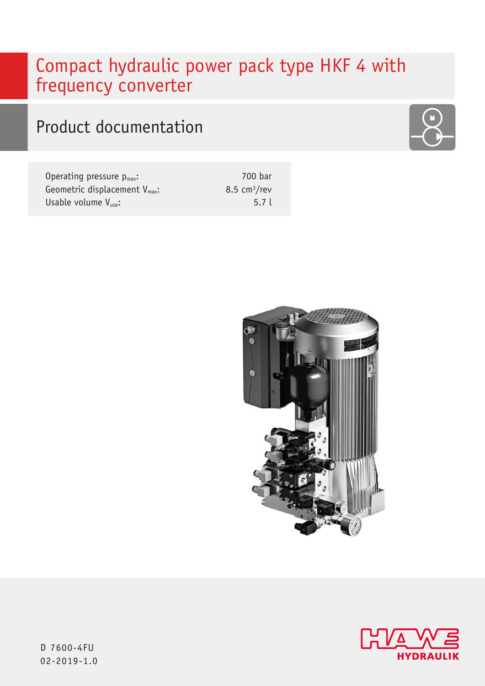# Compact hydraulic power pack type HKF 4 with frequency converter

# Product documentation

Operating pressure  $p_{max}$ : Geometric displacement V<sub>max</sub>: Usable volume  $V_{use}$ :

700 bar 8.5  $cm<sup>3</sup>/rev$ 5.7 l







D 7600-4FU 02-2019-1.0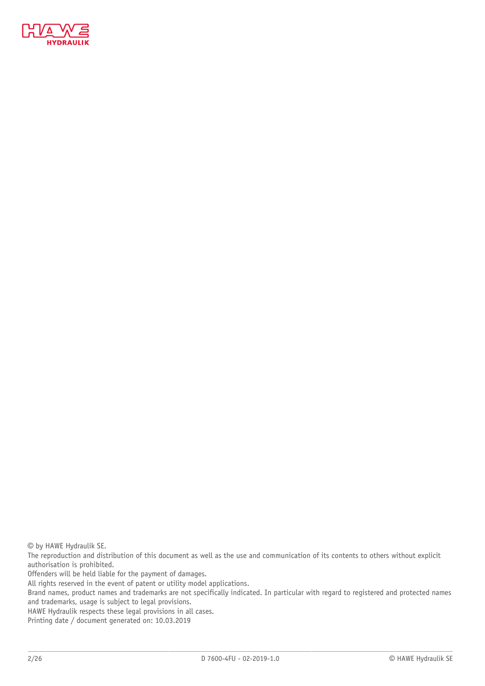

© by HAWE Hydraulik SE.

The reproduction and distribution of this document as well as the use and communication of its contents to others without explicit authorisation is prohibited.

Offenders will be held liable for the payment of damages.

All rights reserved in the event of patent or utility model applications.

Brand names, product names and trademarks are not specifically indicated. In particular with regard to registered and protected names and trademarks, usage is subject to legal provisions.

HAWE Hydraulik respects these legal provisions in all cases.

Printing date / document generated on: 10.03.2019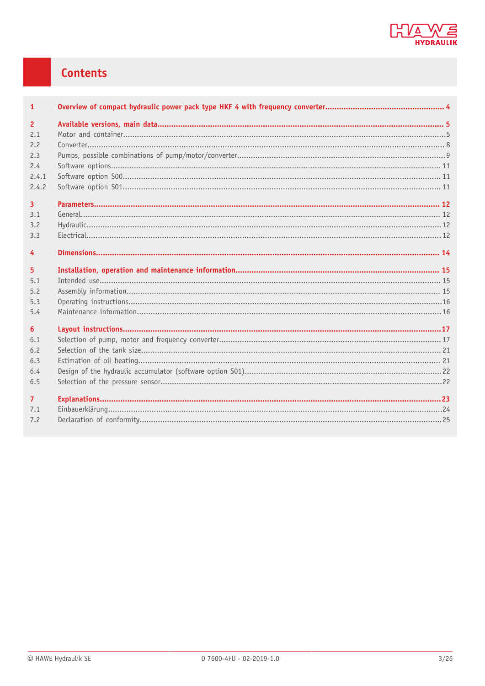

## **Contents**

| $\mathbf{1}$   |  |
|----------------|--|
| $\overline{2}$ |  |
| 2.1            |  |
| 2.2            |  |
| 2.3            |  |
| 2.4            |  |
| 2.4.1          |  |
| 2.4.2          |  |
| $\overline{3}$ |  |
| 3.1            |  |
| 3.2            |  |
| 3.3            |  |
| 4              |  |
| 5              |  |
| 5.1            |  |
| 5.2            |  |
| 5.3            |  |
| 5.4            |  |
| 6              |  |
| 6.1            |  |
| 6.2            |  |
| 6.3            |  |
| 6.4            |  |
| 6.5            |  |
| $\overline{7}$ |  |
| 7.1            |  |
| 7.2            |  |
|                |  |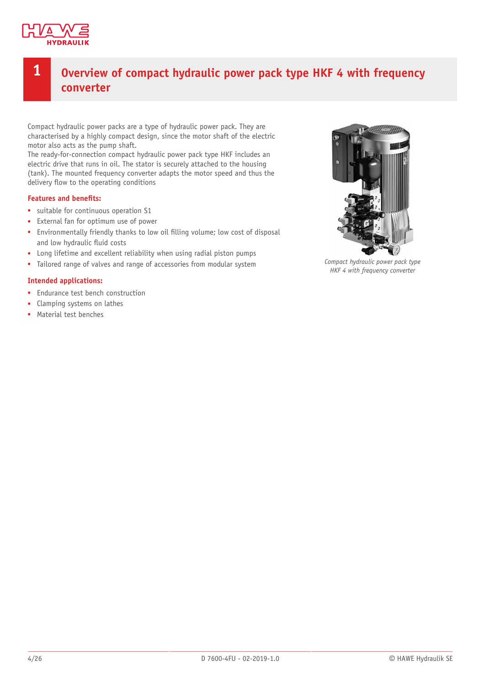

## <span id="page-3-0"></span>**1 Overview of compact hydraulic power pack type HKF 4 with frequency converter**

Compact hydraulic power packs are a type of hydraulic power pack. They are characterised by a highly compact design, since the motor shaft of the electric motor also acts as the pump shaft.

The ready-for-connection compact hydraulic power pack type HKF includes an electric drive that runs in oil. The stator is securely attached to the housing (tank). The mounted frequency converter adapts the motor speed and thus the delivery flow to the operating conditions

### **Features and benets:**

- suitable for continuous operation S1
- External fan for optimum use of power
- **Environmentally friendly thanks to low oil filling volume; low cost of disposal** and low hydraulic fluid costs
- Long lifetime and excellent reliability when using radial piston pumps
- Tailored range of valves and range of accessories from modular system

### **Intended applications:**

- Endurance test bench construction
- Clamping systems on lathes
- Material test benches



*Compact hydraulic power pack type HKF 4 with frequency converter*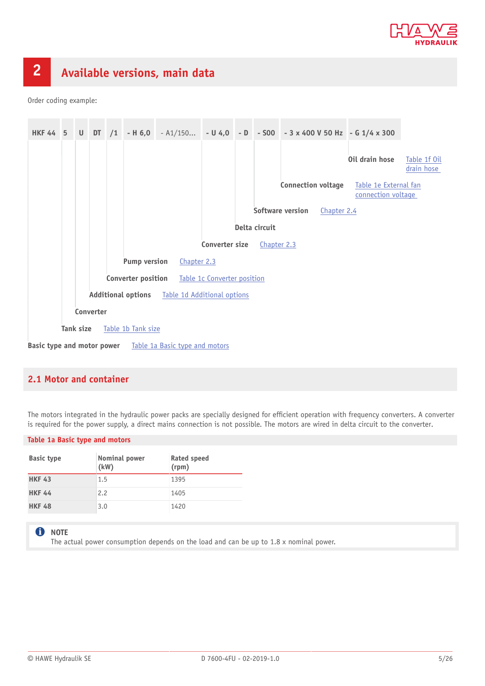

# <span id="page-4-0"></span>**2 Available versions, main data**

Order coding example:



## <span id="page-4-1"></span>**2.1 Motor and container**

<span id="page-4-2"></span>The motors integrated in the hydraulic power packs are specially designed for efficient operation with frequency converters. A converter is required for the power supply, a direct mains connection is not possible. The motors are wired in delta circuit to the converter.

### **Table 1a Basic type and motors**

| <b>Basic type</b> | Nominal power<br>(kW) | Rated speed<br>(rpm) |
|-------------------|-----------------------|----------------------|
| <b>HKF 43</b>     | 1.5                   | 1395                 |
| <b>HKF 44</b>     | 2.2                   | 1405                 |
| <b>HKF 48</b>     | 3.0                   | 1420                 |

### **f** NOTE

The actual power consumption depends on the load and can be up to  $1.8 \times$  nominal power.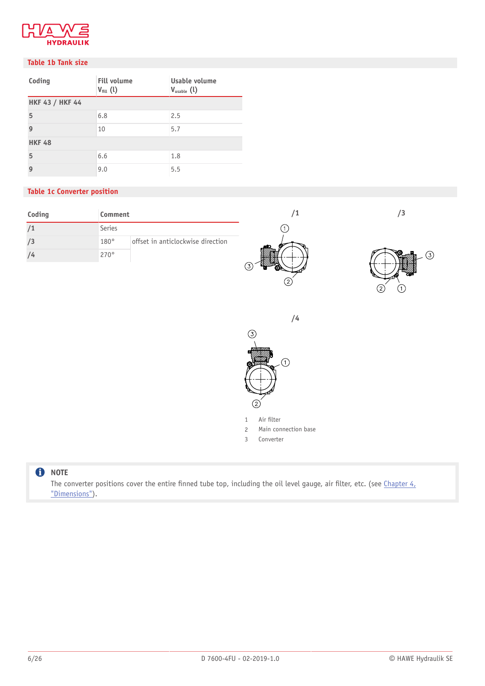

### <span id="page-5-1"></span>**Table 1b Tank size**

| Coding                 | <b>Fill volume</b><br>$V_{fill}$ (l) | Usable volume<br>$V_{\text{usable}}(l)$ |  |  |
|------------------------|--------------------------------------|-----------------------------------------|--|--|
| <b>HKF 43 / HKF 44</b> |                                      |                                         |  |  |
| 5                      | 6.8                                  | 2.5                                     |  |  |
| 9                      | 10                                   | 5.7                                     |  |  |
| <b>HKF 48</b>          |                                      |                                         |  |  |
| 5                      | 6.6                                  | 1.8                                     |  |  |
| 9                      | 9.0                                  | 5.5                                     |  |  |

### <span id="page-5-0"></span>**Table 1c Converter position**

| Coding | Comment     |                                   |   |                          |
|--------|-------------|-----------------------------------|---|--------------------------|
|        | Series      |                                   |   |                          |
|        | 180°        | offset in anticlockwise direction |   |                          |
|        | $270^\circ$ |                                   |   | ③<br>ক                   |
|        |             |                                   |   |                          |
|        |             |                                   | ∠ | $\overline{\phantom{0}}$ |

**/4**

 $\circled{2}$ 

 $\odot$ 





- 2 Main connection base
- 3 Converter

### **O** NOTE

The converter positions cover the entire finned tube top, including the oil level gauge, air filter, etc. (see Chapter  $4<sub>L</sub>$ ["Dimensions"](#page-13-0)).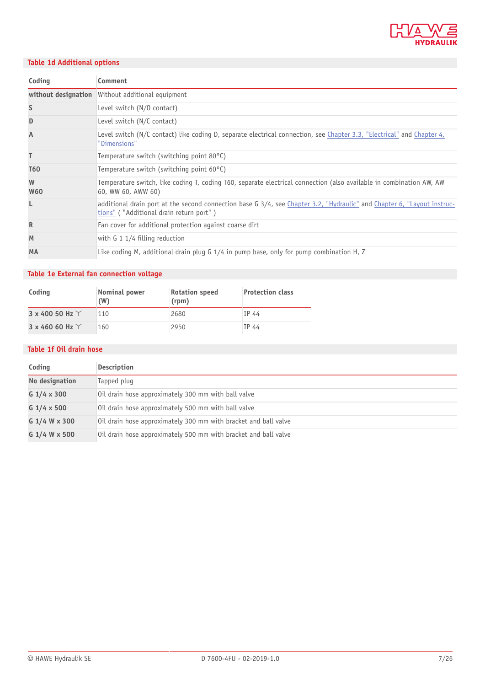

## <span id="page-6-2"></span>**Table 1d Additional options**

| Coding          | Comment                                                                                                                                                            |
|-----------------|--------------------------------------------------------------------------------------------------------------------------------------------------------------------|
|                 | without designation Without additional equipment                                                                                                                   |
| S               | Level switch (N/O contact)                                                                                                                                         |
| D               | Level switch (N/C contact)                                                                                                                                         |
| A               | Level switch (N/C contact) like coding D, separate electrical connection, see Chapter 3.3, "Electrical" and Chapter 4,<br>"Dimensions"                             |
| T               | Temperature switch (switching point 80°C)                                                                                                                          |
| <b>T60</b>      | Temperature switch (switching point $60^{\circ}$ C)                                                                                                                |
| W<br><b>W60</b> | Temperature switch, like coding T, coding T60, separate electrical connection (also available in combination AW, AW<br>60, WW 60, AWW 60)                          |
| L               | additional drain port at the second connection base G 3/4, see Chapter 3.2, "Hydraulic" and Chapter 6, "Layout instruc-<br>tions" ("Additional drain return port") |
| $\mathbb{R}$    | Fan cover for additional protection against coarse dirt                                                                                                            |
| M               | with $G_1$ 1/4 filling reduction                                                                                                                                   |
| <b>MA</b>       | Like coding M, additional drain plug G 1/4 in pump base, only for pump combination H, Z                                                                            |

## <span id="page-6-1"></span>**Table 1e External fan connection voltage**

| Coding                   | Nominal power<br>(W) | <b>Rotation speed</b><br>(rpm) | <b>Protection class</b> |
|--------------------------|----------------------|--------------------------------|-------------------------|
| 3 x 400 50 Hz $\Upsilon$ | 110                  | 2680                           | IP 44                   |
| 3 x 460 60 Hz $\Upsilon$ | 160                  | 2950                           | IP 44                   |

### <span id="page-6-0"></span>**Table 1f Oil drain hose**

| Coding             | <b>Description</b>                                              |
|--------------------|-----------------------------------------------------------------|
| No designation     | Tapped plug                                                     |
| G $1/4 \times 300$ | Oil drain hose approximately 300 mm with ball valve             |
| G $1/4 \times 500$ | Oil drain hose approximately 500 mm with ball valve             |
| G 1/4 W x 300      | Oil drain hose approximately 300 mm with bracket and ball valve |
| G 1/4 W x 500      | Oil drain hose approximately 500 mm with bracket and ball valve |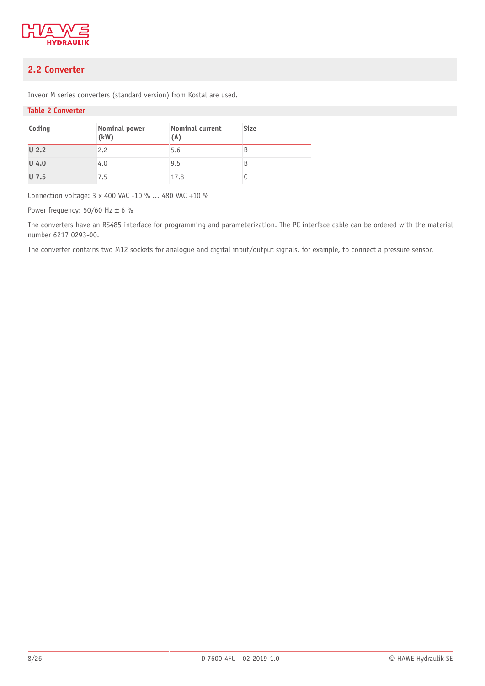

## <span id="page-7-0"></span>**2.2 Converter**

Inveor M series converters (standard version) from Kostal are used.

### **Table 2 Converter**

| Coding           | Nominal power<br>(kW) | Nominal current<br>(A) | <b>Size</b> |
|------------------|-----------------------|------------------------|-------------|
| U <sub>2.2</sub> | 2.2                   | 5.6                    | B           |
| $U$ 4.0          | 4.0                   | 9.5                    | B           |
| $U$ 7.5          | 7.5                   | 17.8                   |             |

Connection voltage: 3 x 400 VAC -10 % ... 480 VAC +10 %

Power frequency:  $50/60$  Hz  $\pm$  6 %

The converters have an RS485 interface for programming and parameterization. The PC interface cable can be ordered with the material number 6217 0293-00.

The converter contains two M12 sockets for analogue and digital input/output signals, for example, to connect a pressure sensor.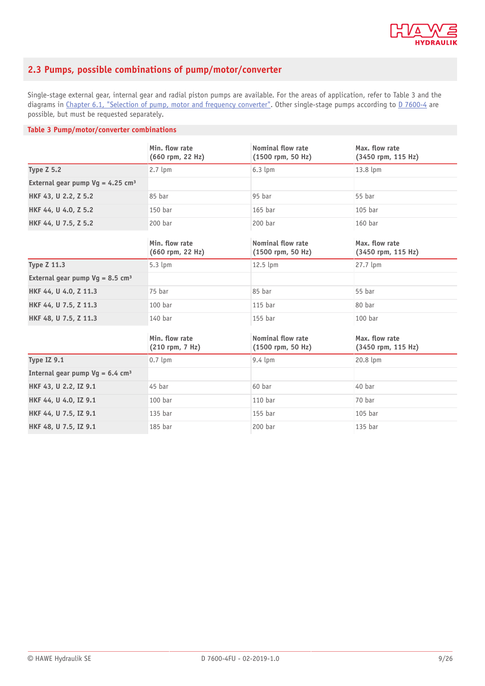

## <span id="page-8-0"></span>**2.3 Pumps, possible combinations of pump/motor/converter**

Single-stage external gear, internal gear and radial piston pumps are available. For the areas of application, refer to Table 3 and the diagrams in [Chapter 6.1,](#page-16-1) "Selection of pump, motor and frequency converter". Other single-stage pumps according to [D 7600-4](http://downloads.hawe.com/7/6/D7600-4-en.pdf) are possible, but must be requested separately.

### **Table 3 Pump/motor/converter combinations**

|                                                | Min. flow rate<br>(660 rpm, 22 Hz) | Nominal flow rate<br>$(1500$ rpm, 50 Hz) | Max. flow rate<br>(3450 rpm, 115 Hz)   |
|------------------------------------------------|------------------------------------|------------------------------------------|----------------------------------------|
| <b>Type Z 5.2</b>                              | 2.7 lpm                            | $6.3$ lpm                                | 13.8 lpm                               |
| External gear pump $Vg = 4.25$ cm <sup>3</sup> |                                    |                                          |                                        |
| HKF 43, U 2.2, Z 5.2                           | 85 bar                             | 95 bar                                   | 55 bar                                 |
| HKF 44, U 4.0, Z 5.2                           | 150 bar                            | $165$ bar                                | 105 bar                                |
| HKF 44, U 7.5, Z 5.2                           | $200$ bar                          | 200 bar                                  | 160 bar                                |
|                                                | Min. flow rate<br>(660 rpm, 22 Hz) | Nominal flow rate<br>(1500 rpm, 50 Hz)   | Max. flow rate<br>$(3450$ rpm, 115 Hz) |
| <b>Type Z 11.3</b>                             | $5.3$ lpm                          | 12.5 lpm                                 | 27.7 lpm                               |
| External gear pump $Vq = 8.5$ cm <sup>3</sup>  |                                    |                                          |                                        |
| HKF 44, U 4.0, Z 11.3                          | 75 bar                             | 85 bar                                   | 55 bar                                 |
| HKF 44, U 7.5, Z 11.3                          | 100 <sub>bar</sub>                 | $115$ bar                                | 80 bar                                 |
| HKF 48, U 7.5, Z 11.3                          | 140 bar                            | 155 bar                                  | 100 bar                                |
|                                                | Min. flow rate<br>(210 rpm, 7 Hz)  | Nominal flow rate<br>(1500 rpm, 50 Hz)   | Max. flow rate<br>(3450 rpm, 115 Hz)   |
| Type IZ 9.1                                    | $0.7$ lpm                          | $9.4 \; \mathrm{lpm}$                    | 20.8 lpm                               |
| Internal gear pump $Vg = 6.4$ cm <sup>3</sup>  |                                    |                                          |                                        |
| HKF 43, U 2.2, IZ 9.1                          | 45 bar                             | 60 bar                                   | 40 bar                                 |
| HKF 44, U 4.0, IZ 9.1                          | $100$ bar                          | 110 <sub>bar</sub>                       | 70 bar                                 |
| HKF 44, U 7.5, IZ 9.1                          | 135 bar                            | 155 bar                                  | 105 bar                                |
| HKF 48, U 7.5, IZ 9.1                          | 185 bar                            | 200 bar                                  | 135 bar                                |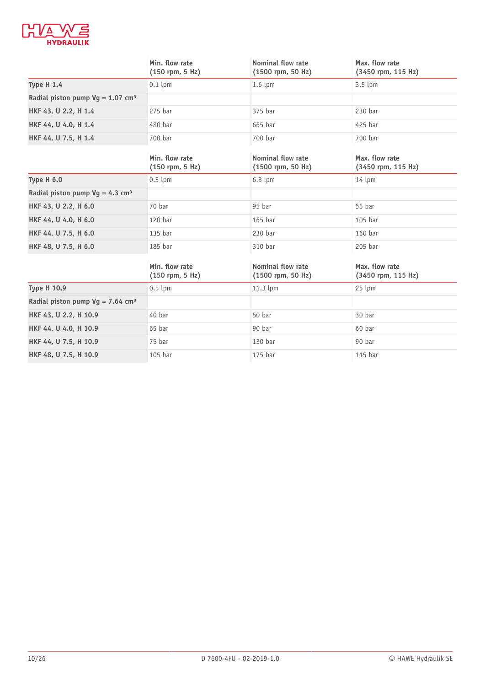

|                                                | Min. flow rate<br>$(150$ rpm, 5 Hz) | <b>Nominal flow rate</b><br>(1500 rpm, 50 Hz) | Max. flow rate<br>(3450 rpm, 115 Hz) |
|------------------------------------------------|-------------------------------------|-----------------------------------------------|--------------------------------------|
| <b>Type H 1.4</b>                              | $0.1$ lpm                           | $1.6 \text{ lpm}$                             | $3.5 \text{ lpm}$                    |
| Radial piston pump $Vg = 1.07$ cm <sup>3</sup> |                                     |                                               |                                      |
| HKF 43, U 2.2, H 1.4                           | $275$ bar                           | 375 bar                                       | 230 bar                              |
| HKF 44, U 4.0, H 1.4                           | 480 bar                             | 665 bar                                       | 425 bar                              |
| HKF 44, U 7.5, H 1.4                           | 700 bar                             | 700 bar                                       | 700 bar                              |
|                                                | Min. flow rate<br>$(150$ rpm, 5 Hz) | Nominal flow rate<br>(1500 rpm, 50 Hz)        | Max. flow rate<br>(3450 rpm, 115 Hz) |
| Type H 6.0                                     | $0.3$ lpm                           | $6.3 \text{ lpm}$                             | $14 \text{ lpm}$                     |
| Radial piston pump $Vg = 4.3$ cm <sup>3</sup>  |                                     |                                               |                                      |
| HKF 43, U 2.2, H 6.0                           | 70 bar                              | 95 bar                                        | 55 bar                               |
| HKF 44, U 4.0, H 6.0                           | 120 bar                             | $165$ bar                                     | $105$ bar                            |
| HKF 44, U 7.5, H 6.0                           | 135 bar                             | 230 bar                                       | 160 bar                              |
| HKF 48, U 7.5, H 6.0                           | 185 bar                             | 310 bar                                       | 205 bar                              |
|                                                | Min. flow rate<br>$(150$ rpm, 5 Hz) | Nominal flow rate<br>(1500 rpm, 50 Hz)        | Max. flow rate<br>(3450 rpm, 115 Hz) |
| <b>Type H 10.9</b>                             | $0.5$ lpm                           | 11.3 lpm                                      | 25 lpm                               |
| Radial piston pump $Vg = 7.64$ cm <sup>3</sup> |                                     |                                               |                                      |
| HKF 43, U 2.2, H 10.9                          | 40 bar                              | 50 bar                                        | 30 bar                               |
| HKF 44, U 4.0, H 10.9                          | 65 bar                              | 90 bar                                        | 60 bar                               |
| HKF 44, U 7.5, H 10.9                          | 75 bar                              | 130 bar                                       | 90 bar                               |
| HKF 48, U 7.5, H 10.9                          | 105 bar                             | 175 bar                                       | $115$ bar                            |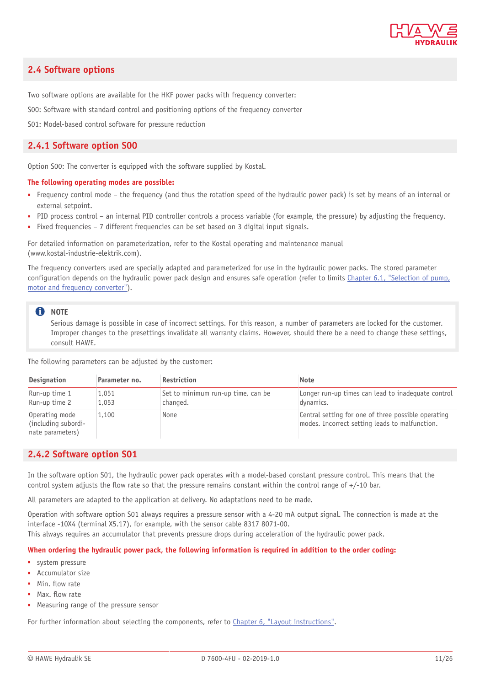

### <span id="page-10-0"></span>**2.4 Software options**

Two software options are available for the HKF power packs with frequency converter:

S00: Software with standard control and positioning options of the frequency converter

<span id="page-10-1"></span>S01: Model-based control software for pressure reduction

### **2.4.1 Software option S00**

Option S00: The converter is equipped with the software supplied by Kostal.

#### **The following operating modes are possible:**

- Frequency control mode the frequency (and thus the rotation speed of the hydraulic power pack) is set by means of an internal or external setpoint.
- PID process control an internal PID controller controls a process variable (for example, the pressure) by adjusting the frequency.
- Fixed frequencies 7 different frequencies can be set based on 3 digital input signals.

For detailed information on parameterization, refer to the Kostal operating and maintenance manual (www.kostal-industrie-elektrik.com).

The frequency converters used are specially adapted and parameterized for use in the hydraulic power packs. The stored parameter configuration depends on the hydraulic power pack design and ensures safe operation (refer to limits [Chapter 6.1,](#page-16-1) "Selection of pump, motor and frequency [converter"](#page-16-1)).

#### **C** NOTE

Serious damage is possible in case of incorrect settings. For this reason, a number of parameters are locked for the customer. Improper changes to the presettings invalidate all warranty claims. However, should there be a need to change these settings, consult HAWE.

The following parameters can be adjusted by the customer:

| <b>Designation</b>                                        | Parameter no.  | <b>Restriction</b>                             | <b>Note</b>                                                                                           |
|-----------------------------------------------------------|----------------|------------------------------------------------|-------------------------------------------------------------------------------------------------------|
| Run-up time 1<br>Run-up time 2                            | 1.051<br>1,053 | Set to minimum run-up time, can be<br>changed. | Longer run-up times can lead to inadequate control<br>dynamics.                                       |
| Operating mode<br>(including subordi-<br>nate parameters) | 1,100          | None                                           | Central setting for one of three possible operating<br>modes. Incorrect setting leads to malfunction. |

### <span id="page-10-2"></span>**2.4.2 Software option S01**

In the software option S01, the hydraulic power pack operates with a model-based constant pressure control. This means that the control system adjusts the flow rate so that the pressure remains constant within the control range of  $+/-10$  bar.

All parameters are adapted to the application at delivery. No adaptations need to be made.

Operation with software option S01 always requires a pressure sensor with a 4-20 mA output signal. The connection is made at the interface -10X4 (terminal X5.17), for example, with the sensor cable 8317 8071-00.

This always requires an accumulator that prevents pressure drops during acceleration of the hydraulic power pack.

#### When ordering the hydraulic power pack, the following information is required in addition to the order coding:

- system pressure
- Accumulator size
- Min. flow rate
- Max. flow rate
- Measuring range of the pressure sensor

For further information about selecting the components, refer to [Chapter 6, "Layout instructions"](#page-16-0).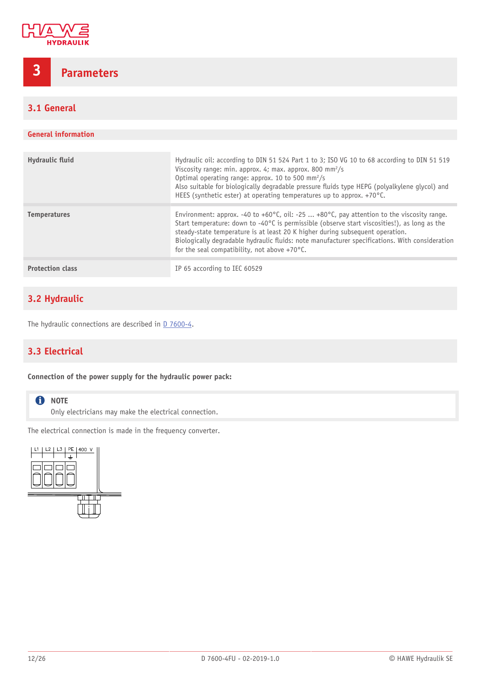

## <span id="page-11-0"></span>**3 Parameters**

## <span id="page-11-1"></span>**3.1 General**

### **General information**

| Hydraulic fluid         | Hydraulic oil: according to DIN 51 524 Part 1 to 3; ISO VG 10 to 68 according to DIN 51 519<br>Viscosity range: min. approx. 4; max. approx. 800 mm <sup>2</sup> /s<br>Optimal operating range: approx. 10 to 500 mm <sup>2</sup> /s<br>Also suitable for biologically degradable pressure fluids type HEPG (polyalkylene glycol) and<br>HEES (synthetic ester) at operating temperatures up to approx. $+70^{\circ}$ C.               |
|-------------------------|----------------------------------------------------------------------------------------------------------------------------------------------------------------------------------------------------------------------------------------------------------------------------------------------------------------------------------------------------------------------------------------------------------------------------------------|
| <b>Temperatures</b>     | Environment: approx. -40 to +60°C, oil: -25  +80°C, pay attention to the viscosity range.<br>Start temperature: down to -40°C is permissible (observe start viscosities!), as long as the<br>steady-state temperature is at least 20 K higher during subsequent operation.<br>Biologically degradable hydraulic fluids: note manufacturer specifications. With consideration<br>for the seal compatibility, not above $+70^{\circ}$ C. |
| <b>Protection class</b> | IP 65 according to IEC 60529                                                                                                                                                                                                                                                                                                                                                                                                           |

## <span id="page-11-2"></span>**3.2 Hydraulic**

<span id="page-11-3"></span>The hydraulic connections are described in [D 7600-4](http://downloads.hawe.com/7/6/D7600-4-en.pdf).

## **3.3 Electrical**

### **Connection of the power supply for the hydraulic power pack:**

### **O** NOTE

Only electricians may make the electrical connection.

The electrical connection is made in the frequency converter.

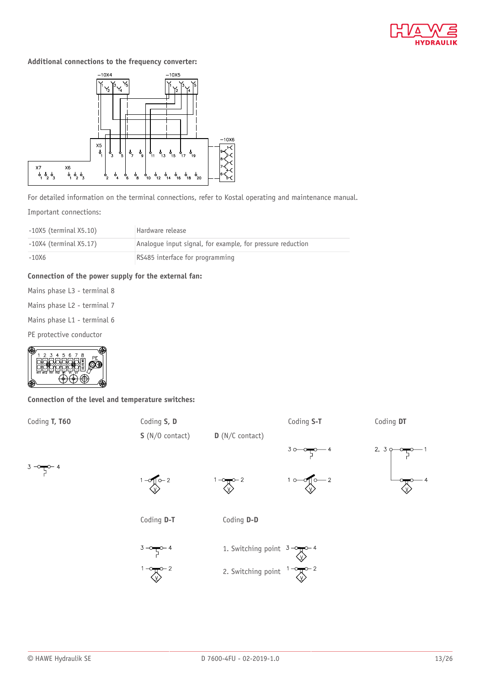

### **Additional connections to the frequency converter:**



For detailed information on the terminal connections, refer to Kostal operating and maintenance manual.

Important connections:

| -10X5 (terminal X5.10)      | Hardware release                                           |  |  |
|-----------------------------|------------------------------------------------------------|--|--|
| $-10X4$ (terminal $X5.17$ ) | Analoque input signal, for example, for pressure reduction |  |  |
| $-10X6$                     | RS485 interface for programming                            |  |  |

### **Connection of the power supply for the external fan:**

- Mains phase L3 terminal 8 Mains phase L2 - terminal 7
- Mains phase L1 terminal 6

PE protective conductor



**Connection of the level and temperature switches:**



2. Switching point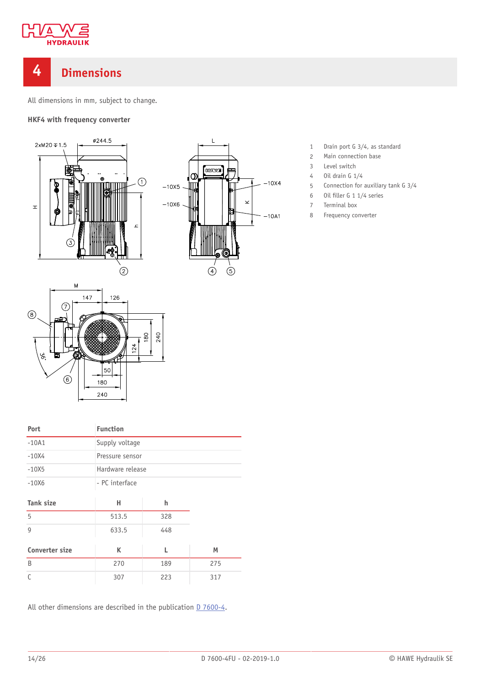

## <span id="page-13-0"></span>**4 Dimensions**

All dimensions in mm, subject to change.

 $\mathbf{I}$ 

**BIXXE** 

 $\circled{4}$ 

 $(5)$ 

 $-10X4$ 

 $-10A1$ 

 $\overline{\mathbf{x}}$ 

۱Œ

 $-10X5$ 

 $-10X6$ 

**HKF4 with frequency converter**





| Port                  | <b>Function</b>  |     |     |  |
|-----------------------|------------------|-----|-----|--|
| $-10A1$               | Supply voltage   |     |     |  |
| $-10X4$               | Pressure sensor  |     |     |  |
| $-10X5$               | Hardware release |     |     |  |
| $-10X6$               | - PC interface   |     |     |  |
|                       |                  |     |     |  |
| <b>Tank size</b>      | н                | h   |     |  |
| 5                     | 513.5            | 328 |     |  |
| $\mathsf{Q}$          | 633.5            |     |     |  |
|                       |                  |     |     |  |
| <b>Converter size</b> | K                | L   | M   |  |
| B                     | 270              | 189 | 275 |  |
| C                     | 307              | 223 | 317 |  |

All other dimensions are described in the publication  $D$  7600-4.

- 1 Drain port G 3/4, as standard
- 2 Main connection base
- 3 Level switch
- 4 Oil drain G 1/4
- 5 Connection for auxiliary tank G 3/4
- $6$  Oil filler G 1 1/4 series
- 7 Terminal box
- 8 Frequency converter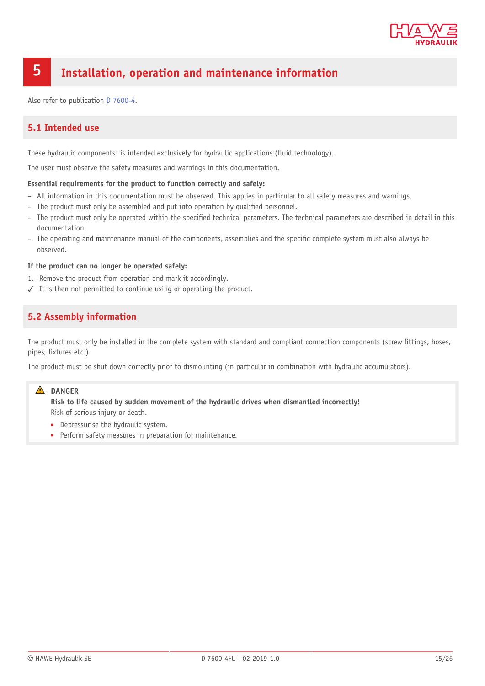

## <span id="page-14-0"></span>**5 Installation, operation and maintenance information**

<span id="page-14-1"></span>Also refer to publication [D 7600-4.](http://downloads.hawe.com/7/6/D7600-4-en.pdf)

## **5.1 Intended use**

These hydraulic components is intended exclusively for hydraulic applications (fluid technology).

The user must observe the safety measures and warnings in this documentation.

#### **Essential requirements for the product to function correctly and safely:**

- All information in this documentation must be observed. This applies in particular to all safety measures and warnings.
- The product must only be assembled and put into operation by qualified personnel.
- The product must only be operated within the specified technical parameters. The technical parameters are described in detail in this documentation.
- The operating and maintenance manual of the components, assemblies and the specific complete system must also always be observed.

#### **If the product can no longer be operated safely:**

- 1. Remove the product from operation and mark it accordingly.
- <span id="page-14-2"></span>✓ It is then not permitted to continue using or operating the product.

## **5.2 Assembly information**

The product must only be installed in the complete system with standard and compliant connection components (screw fittings, hoses, pipes, fixtures etc.).

The product must be shut down correctly prior to dismounting (in particular in combination with hydraulic accumulators).

### **DANGER**

**Risk to life caused by sudden movement of the hydraulic drives when dismantled incorrectly!** Risk of serious injury or death.

- Depressurise the hydraulic system.
- Perform safety measures in preparation for maintenance.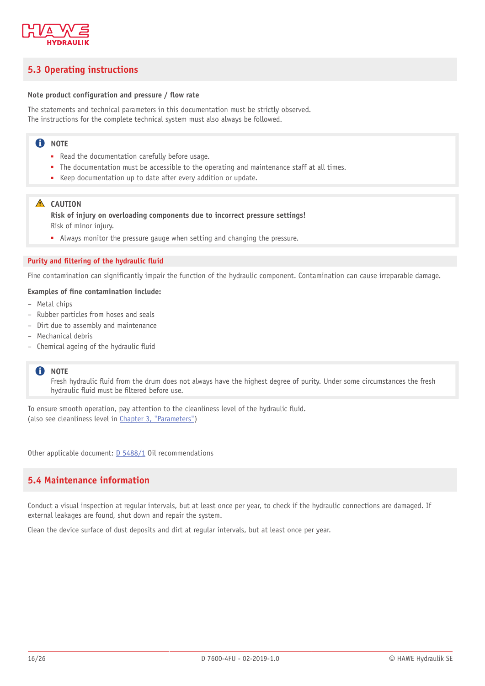

## <span id="page-15-0"></span>**5.3 Operating instructions**

### **Note** product configuration and pressure / flow rate

The statements and technical parameters in this documentation must be strictly observed. The instructions for the complete technical system must also always be followed.

### **f** NOTE

- Read the documentation carefully before usage.
- The documentation must be accessible to the operating and maintenance staff at all times.
- Keep documentation up to date after every addition or update.

### **A** CAUTION

**Risk of injury on overloading components due to incorrect pressure settings!** Risk of minor injury.

■ Always monitor the pressure gauge when setting and changing the pressure.

#### **Purity and ltering of the hydraulic uid**

Fine contamination can significantly impair the function of the hydraulic component. Contamination can cause irreparable damage.

### **Examples of ne contamination include:**

- Metal chips
- Rubber particles from hoses and seals
- Dirt due to assembly and maintenance
- Mechanical debris
- $-$  Chemical ageing of the hydraulic fluid

### **f** NOTE

Fresh hydraulic fluid from the drum does not always have the highest degree of purity. Under some circumstances the fresh hydraulic fluid must be filtered before use.

To ensure smooth operation, pay attention to the cleanliness level of the hydraulic fluid. (also see cleanliness level in Chapter 3, ["Parameters"\)](#page-11-0)

<span id="page-15-1"></span>Other applicable document: [D 5488/1](http://downloads.hawe.com/5/4/D54881-en.pdf) Oil recommendations

## **5.4 Maintenance information**

Conduct a visual inspection at regular intervals, but at least once per year, to check if the hydraulic connections are damaged. If external leakages are found, shut down and repair the system.

Clean the device surface of dust deposits and dirt at regular intervals, but at least once per year.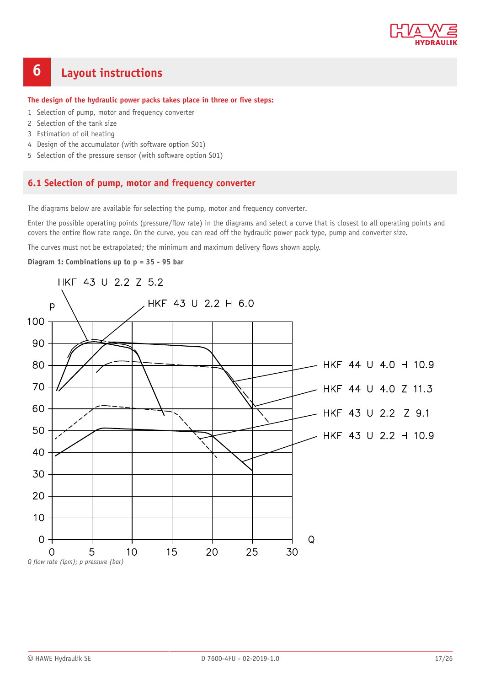

## <span id="page-16-0"></span>**6 Layout instructions**

#### **The design of the hydraulic power packs takes place in three or ve steps:**

- 1 Selection of pump, motor and frequency converter
- 2 Selection of the tank size
- 3 Estimation of oil heating
- 4 Design of the accumulator (with software option S01)
- <span id="page-16-1"></span>5 Selection of the pressure sensor (with software option S01)

### **6.1 Selection of pump, motor and frequency converter**

The diagrams below are available for selecting the pump, motor and frequency converter.

Enter the possible operating points (pressure/flow rate) in the diagrams and select a curve that is closest to all operating points and covers the entire flow rate range. On the curve, you can read off the hydraulic power pack type, pump and converter size.

The curves must not be extrapolated; the minimum and maximum delivery flows shown apply.

**Diagram 1: Combinations up to p = 35 - 95 bar**

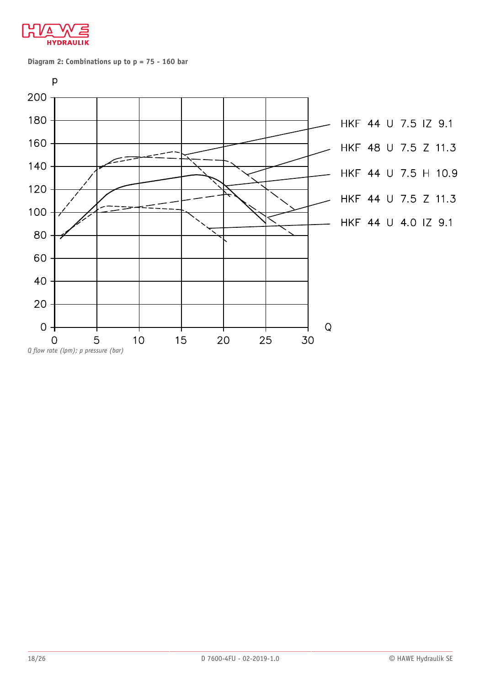

**Diagram 2: Combinations up to p = 75 - 160 bar**

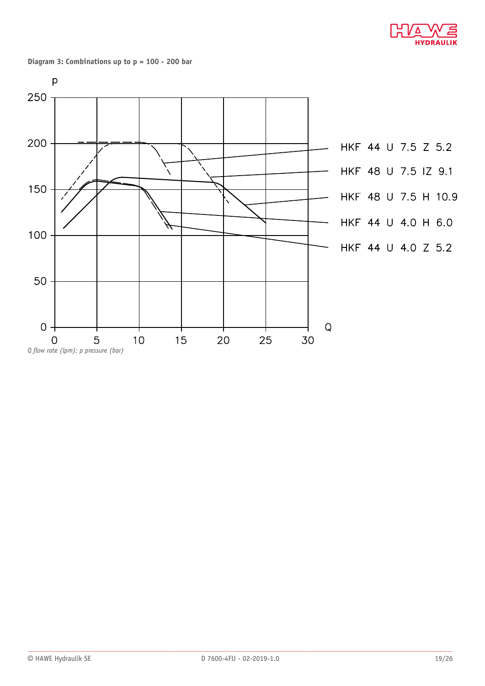

**Diagram 3: Combinations up to p = 100 - 200 bar**

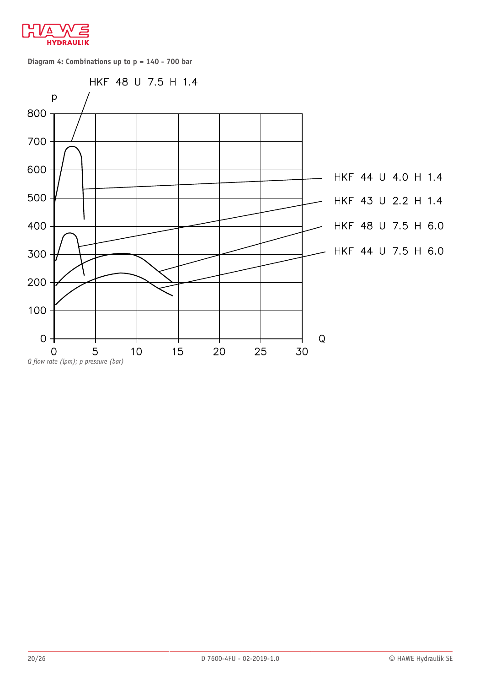

**Diagram 4: Combinations up to p = 140 - 700 bar**

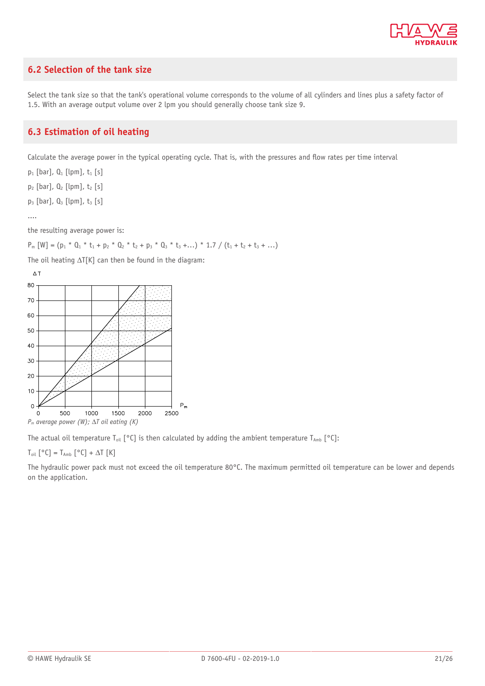

## <span id="page-20-0"></span>**6.2 Selection of the tank size**

Select the tank size so that the tank's operational volume corresponds to the volume of all cylinders and lines plus a safety factor of 1.5. With an average output volume over 2 lpm you should generally choose tank size 9.

## <span id="page-20-1"></span>**6.3 Estimation of oil heating**

Calculate the average power in the typical operating cycle. That is, with the pressures and flow rates per time interval

 $p_1$  [bar],  $Q_1$  [lpm],  $t_1$  [s]

 $p_2$  [bar],  $Q_2$  [lpm],  $t_2$  [s]

 $p_3$  [bar],  $Q_3$  [lpm],  $t_3$  [s]

....

the resulting average power is:

 $P_m [W] = (p_1 * 0_1 * t_1 + p_2 * 0_2 * t_2 + p_3 * 0_3 * t_3 + ...) * 1.7 / (t_1 + t_2 + t_3 + ...)$ 

The oil heating  $\Delta T[K]$  can then be found in the diagram:



The actual oil temperature T<sub>oil</sub> [°C] is then calculated by adding the ambient temperature T<sub>Amb</sub> [°C]:

### $T_{\text{oil}}$  [°C] =  $T_{\text{Amb}}$  [°C] +  $\Delta T$  [K]

The hydraulic power pack must not exceed the oil temperature 80°C. The maximum permitted oil temperature can be lower and depends on the application.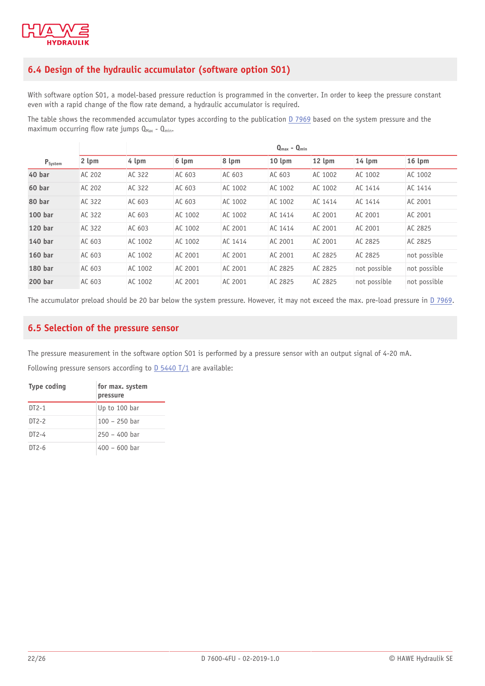

## <span id="page-21-0"></span>**6.4 Design of the hydraulic accumulator (software option S01)**

With software option S01, a model-based pressure reduction is programmed in the converter. In order to keep the pressure constant even with a rapid change of the flow rate demand, a hydraulic accumulator is required.

The table shows the recommended accumulator types according to the publication [D 7969](http://downloads.hawe.com/7/9/D7969-en.pdf) based on the system pressure and the maximum occurring flow rate jumps  $Q_{\text{Max}} - Q_{\text{min}}$ .

|                    |        | $Q_{\text{max}} - Q_{\text{min}}$ |         |         |                  |         |                  |              |
|--------------------|--------|-----------------------------------|---------|---------|------------------|---------|------------------|--------------|
| $P_{System}$       | 2 lpm  | 4 lpm                             | 6 lpm   | 8 lpm   | $10 \text{ lpm}$ | 12 lpm  | $14 \text{ lpm}$ | $16$ lpm     |
| 40 bar             | AC 202 | AC 322                            | AC 603  | AC 603  | AC 603           | AC 1002 | AC 1002          | AC 1002      |
| 60 bar             | AC 202 | AC 322                            | AC 603  | AC 1002 | AC 1002          | AC 1002 | AC 1414          | AC 1414      |
| 80 bar             | AC 322 | AC 603                            | AC 603  | AC 1002 | AC 1002          | AC 1414 | AC 1414          | AC 2001      |
| 100 <sub>bar</sub> | AC 322 | AC 603                            | AC 1002 | AC 1002 | AC 1414          | AC 2001 | AC 2001          | AC 2001      |
| 120 bar            | AC 322 | AC 603                            | AC 1002 | AC 2001 | AC 1414          | AC 2001 | AC 2001          | AC 2825      |
| 140 bar            | AC 603 | AC 1002                           | AC 1002 | AC 1414 | AC 2001          | AC 2001 | AC 2825          | AC 2825      |
| 160 <sub>bar</sub> | AC 603 | AC 1002                           | AC 2001 | AC 2001 | AC 2001          | AC 2825 | AC 2825          | not possible |
| 180 bar            | AC 603 | AC 1002                           | AC 2001 | AC 2001 | AC 2825          | AC 2825 | not possible     | not possible |
| 200 bar            | AC 603 | AC 1002                           | AC 2001 | AC 2001 | AC 2825          | AC 2825 | not possible     | not possible |

<span id="page-21-1"></span>The accumulator preload should be 20 bar below the system pressure. However, it may not exceed the max. pre-load pressure in [D 7969](http://downloads.hawe.com/7/9/D7969-en.pdf).

## **6.5 Selection of the pressure sensor**

The pressure measurement in the software option S01 is performed by a pressure sensor with an output signal of 4-20 mA.

Following pressure sensors according to [D 5440 T/1](http://downloads.hawe.com/5/4/D5440T1-en.pdf) are available:

| <b>Type coding</b> | for max. system<br>pressure |
|--------------------|-----------------------------|
| $DT2-1$            | Up to 100 bar               |
| $DT2-2$            | $100 - 250$ har             |
| $DT2-4$            | $250 - 400$ har             |
| $DT2-6$            | $400 - 600$ har             |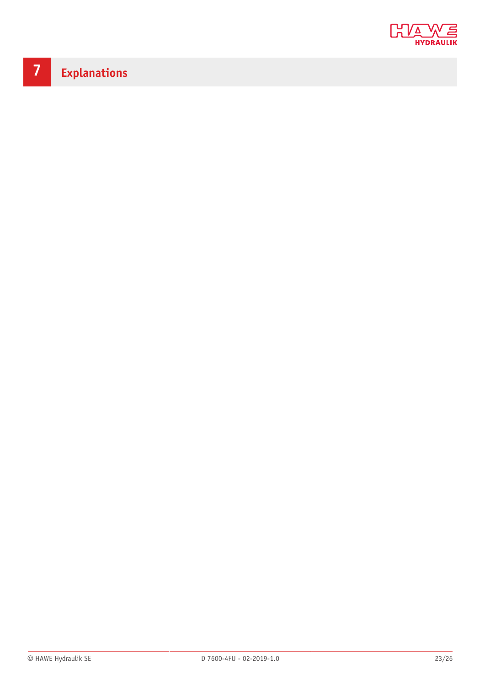

# <span id="page-22-0"></span>**7 Explanations**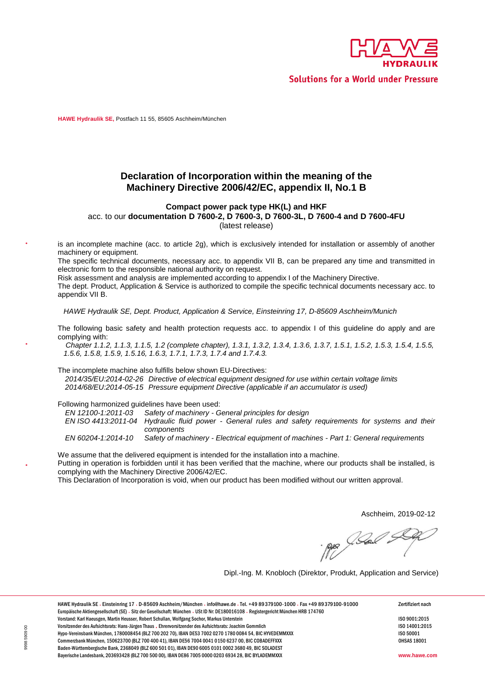

**Solutions for a World under Pressure** 

<span id="page-23-0"></span>**HAWE Hydraulik SE,** Postfach 11 55, 85605 Aschheim/München

### **Declaration of Incorporation within the meaning of the Machinery Directive 2006/42/EC, appendix II, No.1 B**

#### **Compact power pack type HK(L) and HKF**  acc. to our documentation D 7600-2, D 7600-3, D 7600-3L, D 7600-4 and D 7600-4FU

(latest release)

is an incomplete machine (acc. to article 2g), which is exclusively intended for installation or assembly of another machinery or equipment.

The specific technical documents, necessary acc. to appendix VII B, can be prepared any time and transmitted in electronic form to the responsible national authority on request.

Risk assessment and analysis are implemented according to appendix I of the Machinery Directive.

The dept. Product, Application & Service is authorized to compile the specific technical documents necessary acc. to appendix VII B.

*HAWE Hydraulik SE, Dept. Product, Application & Service Einsteinring 17, D 85609 Aschheim/Munich*

The following basic safety and health protection requests acc. to appendix I of this guideline do apply and are complying with:

*Chapter 1.1.2, 1.1.3, 1.1.5, 1.2 (complete chapter), 1.3.1, 1.3.2, 1.3.4, 1.3.6, 1.3.7, 1.5.1, 1.5.2, 1.5.3, 1.5.4, 1.5.5, 5.6, 1.5.8, 1.5.9, 1.5.16, 1.6.3, 1.7.1, 1.7.3, 1.7.4 and 1.7.4.3.*

The incomplete machine also fulfills below shown EU-Directives:

2014/35/EU:2014-02-26 Directive of electrical equipment designed for use within certain voltage limits 2014/68/EU:2014-05-15 Pressure equipment Directive (applicable if an accumulator is used)

Following harmonized guidelines have been used:<br>EN 12100-1:2011-03 Safety of machinery - G

*EN 12100 1:2011 03 Safety of machinery General principles for design*

EN ISO 4413:2011-04 Hydraulic fluid power - General rules and safety requirements for systems and their *components*

*EN 60204 1:2014 10 Safety of machinery Electrical equipment of machines Part 1: General requirements*

We assume that the delivered equipment is intended for the installation into a machine.

Putting in operation is forbidden until it has been verified that the machine, where our products shall be installed, is complying with the Machinery Directive 2006/42/EC.

This Declaration of Incorporation is void, when our product has been modified without our written approval.

Aschheim, 2019-02-12

AB Seal

Dipl. Ing. M. Knobloch (Direktor, Produkt, Application and Service)

HAWE Hydraulik SE · Einsteinring 17 · D-85609 Aschheim/München · info@hawe.de · Tel. +49 89 379100-1000 · Fax +49 89 379100-91000 Zertifiziert nach Europäische Aktiengesellschaft (SE). Sitz der Gesellschaft: München . USt ID Nr: DE180016108 . Registergericht München HRB 174760 Vorstand: Karl Haeusgen, Martin Heusser, Robert Schullan, Wolfgang Sochor, Markus Unterstein Interstein Instantion Inc. 2015 Vorsitzender des Aufsichtsrats: Hans-Jürgen Thaus • Ehrenvorsitzender des Aufsichtsrats: Joachim Gommlich ISO 11001:2015<br>In the Unity of the Unity of the Unity of the Unity of the Unity of the Unity of the Unity of the Uni Hypo-Vereinsbank München, 1780008454 (BLZ 700 202 70), IBAN DE53 7002 0270 1780 0084 54, BIC HYVEDEMMXXX Commerzbank München, 150623700 (BLZ 700 400 41), IBAN DE56 7004 0041 0150 6237 00, BIC COBADEFFXXX OHSAS 18001 Baden Württembergische Bank, 2368049 (BLZ 600 501 01), IBAN DE90 6005 0101 0002 3680 49, BIC SOLADEST Bayerische Landesbank, 203693428 (BLZ 700 500 00), IBAN DE86 7005 0000 0203 6934 28, BIC BYLADEMMXXX **www.hawe.com c EXECTS EXECTS CONSULTER CONSULTER CONSULTER CONSULTER CONSULTER CONSULTER CONSULTER CONSULTER CONSULTER CONSULTER CONSULTER CONSULTER CONSULTER CONSULTER CONSULTER CONSULTER CONSULTER CONSULTER CONSULTER CONSULTE** *2014/35/EU:2014 02 2 6 Directive of electrical equipment designed for use within certain voltage limits* **2014/68/EU:2014/68/EU:2014/68/EU:2014/68/EU:2014/68/EU:2014/68/EU:2014/68/EU:2014/68/EU:2014/68/EU:2014/68/EU:2014/68/EU:2014/68/EU:2014/68/EU:2014/68/EU:2014/68/EU:2014/68/EU:2014/68/EU:2014/68/EU:2014/68/EU:2014/68/EU: EN ISO 4414**<br> **EN ISO 4414:2011**<br> **EN ISO 4414:2011**<br> **EN ISO 4414:2011**<br> **EN ISO 4414:2011**<br> **EN ISO 4414:2011**<br> **EN ISO 4414:2011**<br> **EN ISO 4414:2011**<br> **EN ISO 4414:2011**<br> **EN ISO 4414:2011**<br> **EN ISO 4414:2011**<br> **EN IS**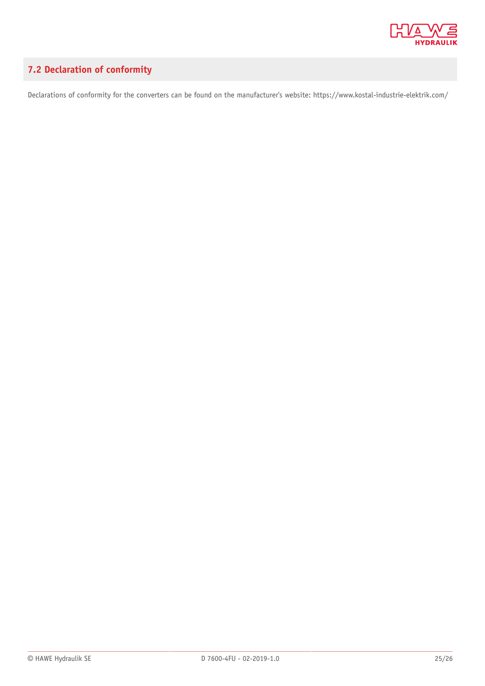

## <span id="page-24-0"></span>**7.2 Declaration of conformity**

Declarations of conformity for the converters can be found on the manufacturer's website: https://www.kostal-industrie-elektrik.com/